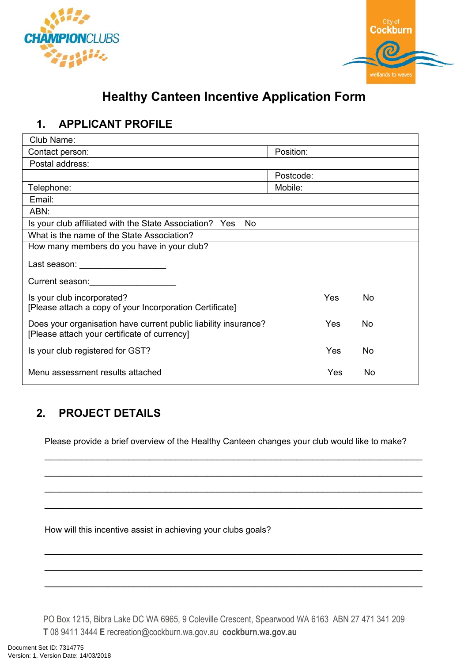



# **Healthy Canteen Incentive Application Form**

### **1. APPLICANT PROFILE**

| Club Name:                                                                                                      |           |            |    |  |  |
|-----------------------------------------------------------------------------------------------------------------|-----------|------------|----|--|--|
| Contact person:                                                                                                 | Position: |            |    |  |  |
| Postal address:                                                                                                 |           |            |    |  |  |
|                                                                                                                 | Postcode: |            |    |  |  |
| Telephone:                                                                                                      | Mobile:   |            |    |  |  |
| Email:                                                                                                          |           |            |    |  |  |
| ABN:                                                                                                            |           |            |    |  |  |
| Is your club affiliated with the State Association? Yes<br>No                                                   |           |            |    |  |  |
| What is the name of the State Association?                                                                      |           |            |    |  |  |
| How many members do you have in your club?                                                                      |           |            |    |  |  |
| Last season: ____________________                                                                               |           |            |    |  |  |
| Current season: <b>Current Season:</b>                                                                          |           |            |    |  |  |
| Is your club incorporated?<br>[Please attach a copy of your Incorporation Certificate]                          |           | <b>Yes</b> | No |  |  |
| Does your organisation have current public liability insurance?<br>[Please attach your certificate of currency] |           | Yes        | No |  |  |
| Is your club registered for GST?                                                                                |           | Yes        | No |  |  |
| Menu assessment results attached                                                                                |           | Yes        | No |  |  |

## **2. PROJECT DETAILS**

Please provide a brief overview of the Healthy Canteen changes your club would like to make?

 $\mathcal{L}_\text{max} = \mathcal{L}_\text{max} = \mathcal{L}_\text{max} = \mathcal{L}_\text{max} = \mathcal{L}_\text{max} = \mathcal{L}_\text{max} = \mathcal{L}_\text{max} = \mathcal{L}_\text{max} = \mathcal{L}_\text{max} = \mathcal{L}_\text{max} = \mathcal{L}_\text{max} = \mathcal{L}_\text{max} = \mathcal{L}_\text{max} = \mathcal{L}_\text{max} = \mathcal{L}_\text{max} = \mathcal{L}_\text{max} = \mathcal{L}_\text{max} = \mathcal{L}_\text{max} = \mathcal{$ 

 $\mathcal{L}_\text{max}$  and  $\mathcal{L}_\text{max}$  and  $\mathcal{L}_\text{max}$  and  $\mathcal{L}_\text{max}$  and  $\mathcal{L}_\text{max}$  and  $\mathcal{L}_\text{max}$ 

 $\mathcal{L}_\text{max}$  and  $\mathcal{L}_\text{max}$  and  $\mathcal{L}_\text{max}$  and  $\mathcal{L}_\text{max}$  and  $\mathcal{L}_\text{max}$  and  $\mathcal{L}_\text{max}$ 

 $\mathcal{L}_\text{max} = \mathcal{L}_\text{max} = \mathcal{L}_\text{max} = \mathcal{L}_\text{max} = \mathcal{L}_\text{max} = \mathcal{L}_\text{max} = \mathcal{L}_\text{max} = \mathcal{L}_\text{max} = \mathcal{L}_\text{max} = \mathcal{L}_\text{max} = \mathcal{L}_\text{max} = \mathcal{L}_\text{max} = \mathcal{L}_\text{max} = \mathcal{L}_\text{max} = \mathcal{L}_\text{max} = \mathcal{L}_\text{max} = \mathcal{L}_\text{max} = \mathcal{L}_\text{max} = \mathcal{$ 

 $\mathcal{L}_\text{max}$  and  $\mathcal{L}_\text{max}$  and  $\mathcal{L}_\text{max}$  and  $\mathcal{L}_\text{max}$  and  $\mathcal{L}_\text{max}$  and  $\mathcal{L}_\text{max}$ 

 $\mathcal{L}_\text{max}$  and  $\mathcal{L}_\text{max}$  and  $\mathcal{L}_\text{max}$  and  $\mathcal{L}_\text{max}$  and  $\mathcal{L}_\text{max}$  and  $\mathcal{L}_\text{max}$ 

 $\mathcal{L}_\text{max} = \mathcal{L}_\text{max} = \mathcal{L}_\text{max} = \mathcal{L}_\text{max} = \mathcal{L}_\text{max} = \mathcal{L}_\text{max} = \mathcal{L}_\text{max} = \mathcal{L}_\text{max} = \mathcal{L}_\text{max} = \mathcal{L}_\text{max} = \mathcal{L}_\text{max} = \mathcal{L}_\text{max} = \mathcal{L}_\text{max} = \mathcal{L}_\text{max} = \mathcal{L}_\text{max} = \mathcal{L}_\text{max} = \mathcal{L}_\text{max} = \mathcal{L}_\text{max} = \mathcal{$ 

How will this incentive assist in achieving your clubs goals?

PO Box 1215, Bibra Lake DC WA 6965, 9 Coleville Crescent, Spearwood WA 6163 ABN 27 471 341 209 **T** 08 9411 3444 **E** recreation@cockburn.wa.gov.au **cockburn.wa.gov.au**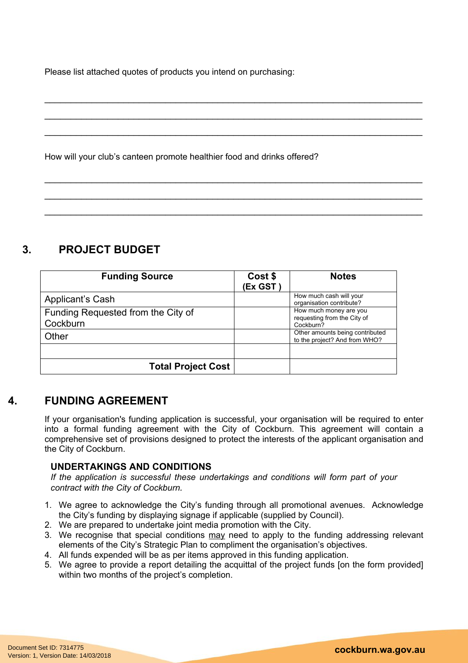Please list attached quotes of products you intend on purchasing:

How will your club's canteen promote healthier food and drinks offered?

#### **3. PROJECT BUDGET**

| <b>Funding Source</b>                          | Cost \$<br>(Ex GST) | <b>Notes</b>                                                       |
|------------------------------------------------|---------------------|--------------------------------------------------------------------|
| <b>Applicant's Cash</b>                        |                     | How much cash will your<br>organisation contribute?                |
| Funding Requested from the City of<br>Cockburn |                     | How much money are you<br>requesting from the City of<br>Cockburn? |
| Other                                          |                     | Other amounts being contributed<br>to the project? And from WHO?   |
|                                                |                     |                                                                    |
| <b>Total Project Cost</b>                      |                     |                                                                    |

 $\mathcal{L}_\text{max}$  and  $\mathcal{L}_\text{max}$  and  $\mathcal{L}_\text{max}$  and  $\mathcal{L}_\text{max}$  and  $\mathcal{L}_\text{max}$  and  $\mathcal{L}_\text{max}$ 

 $\mathcal{L}_\text{max} = \mathcal{L}_\text{max} = \mathcal{L}_\text{max} = \mathcal{L}_\text{max} = \mathcal{L}_\text{max} = \mathcal{L}_\text{max} = \mathcal{L}_\text{max} = \mathcal{L}_\text{max} = \mathcal{L}_\text{max} = \mathcal{L}_\text{max} = \mathcal{L}_\text{max} = \mathcal{L}_\text{max} = \mathcal{L}_\text{max} = \mathcal{L}_\text{max} = \mathcal{L}_\text{max} = \mathcal{L}_\text{max} = \mathcal{L}_\text{max} = \mathcal{L}_\text{max} = \mathcal{$ 

 $\mathcal{L}_\text{max} = \mathcal{L}_\text{max} = \mathcal{L}_\text{max} = \mathcal{L}_\text{max} = \mathcal{L}_\text{max} = \mathcal{L}_\text{max} = \mathcal{L}_\text{max} = \mathcal{L}_\text{max} = \mathcal{L}_\text{max} = \mathcal{L}_\text{max} = \mathcal{L}_\text{max} = \mathcal{L}_\text{max} = \mathcal{L}_\text{max} = \mathcal{L}_\text{max} = \mathcal{L}_\text{max} = \mathcal{L}_\text{max} = \mathcal{L}_\text{max} = \mathcal{L}_\text{max} = \mathcal{$ 

 $\mathcal{L}_\text{max}$  and  $\mathcal{L}_\text{max}$  and  $\mathcal{L}_\text{max}$  and  $\mathcal{L}_\text{max}$  and  $\mathcal{L}_\text{max}$  and  $\mathcal{L}_\text{max}$ 

 $\mathcal{L}_\text{max}$  and  $\mathcal{L}_\text{max}$  and  $\mathcal{L}_\text{max}$  and  $\mathcal{L}_\text{max}$  and  $\mathcal{L}_\text{max}$  and  $\mathcal{L}_\text{max}$ 

 $\mathcal{L}_\text{max} = \mathcal{L}_\text{max} = \mathcal{L}_\text{max} = \mathcal{L}_\text{max} = \mathcal{L}_\text{max} = \mathcal{L}_\text{max} = \mathcal{L}_\text{max} = \mathcal{L}_\text{max} = \mathcal{L}_\text{max} = \mathcal{L}_\text{max} = \mathcal{L}_\text{max} = \mathcal{L}_\text{max} = \mathcal{L}_\text{max} = \mathcal{L}_\text{max} = \mathcal{L}_\text{max} = \mathcal{L}_\text{max} = \mathcal{L}_\text{max} = \mathcal{L}_\text{max} = \mathcal{$ 

#### **4. FUNDING AGREEMENT**

If your organisation's funding application is successful, your organisation will be required to enter into a formal funding agreement with the City of Cockburn. This agreement will contain a comprehensive set of provisions designed to protect the interests of the applicant organisation and the City of Cockburn.

#### **UNDERTAKINGS AND CONDITIONS**

*If the application is successful these undertakings and conditions will form part of your contract with the City of Cockburn.*

- 1. We agree to acknowledge the City's funding through all promotional avenues. Acknowledge the City's funding by displaying signage if applicable (supplied by Council).
- 2. We are prepared to undertake joint media promotion with the City.
- 3. We recognise that special conditions may need to apply to the funding addressing relevant elements of the City's Strategic Plan to compliment the organisation's objectives.
- 4. All funds expended will be as per items approved in this funding application.
- 5. We agree to provide a report detailing the acquittal of the project funds [on the form provided] within two months of the project's completion.